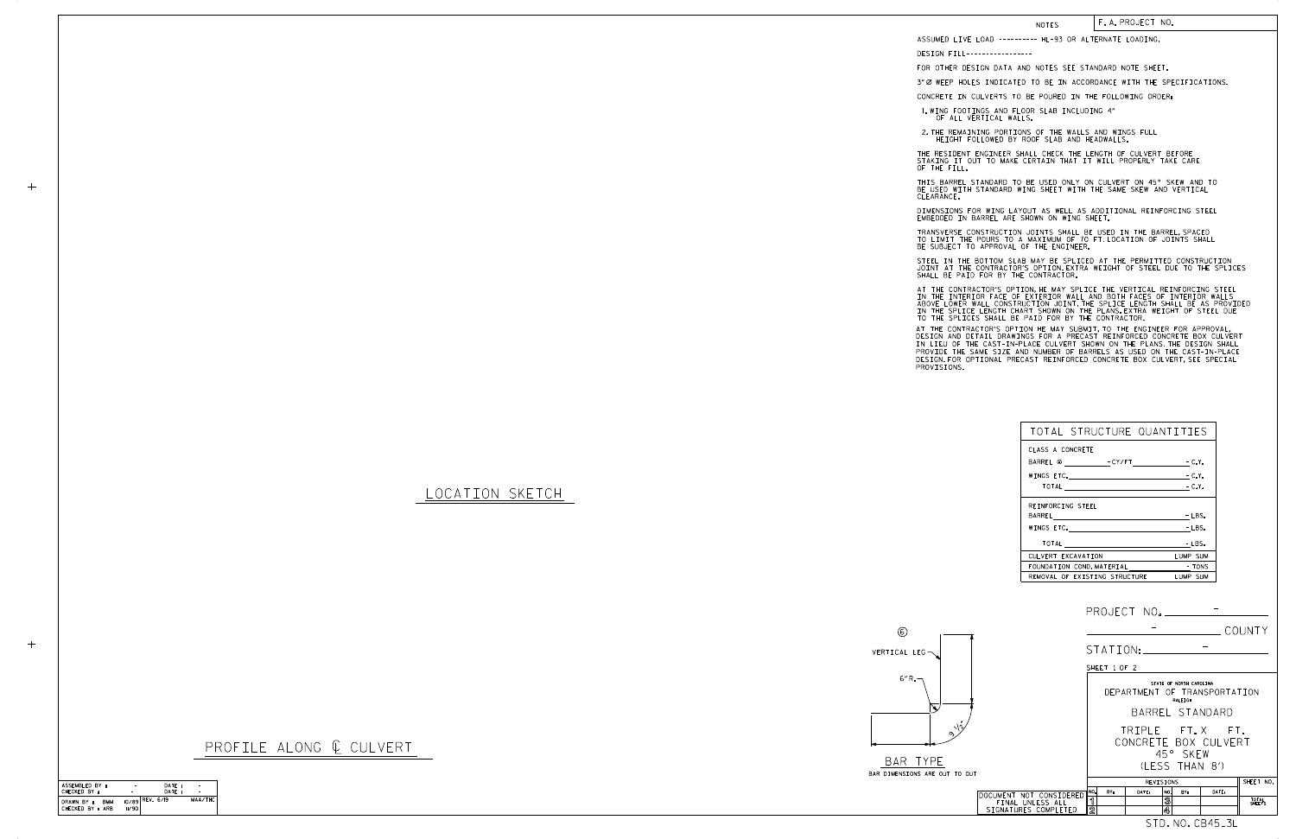LOCATION SKETCH

CHECKED BY : DATE : DATE : ASSEMBLED BY : MAA/THC CHECKED BY : ARB DRAWN BY : BMM 10/89 11/90 REV. 6/19 - DATE: -<br>DATE: -

 $+$ 



PROFILE ALONG @ CULVERT

| <b>NOTES</b>                  |                                                                                                                                                                                                                                                                                                                                                                                                                                                                                                                                                                                                                                                                                                                                                                   |                      | F.A.PROJECT NO. |                                         |       |                 |  |  |  |  |
|-------------------------------|-------------------------------------------------------------------------------------------------------------------------------------------------------------------------------------------------------------------------------------------------------------------------------------------------------------------------------------------------------------------------------------------------------------------------------------------------------------------------------------------------------------------------------------------------------------------------------------------------------------------------------------------------------------------------------------------------------------------------------------------------------------------|----------------------|-----------------|-----------------------------------------|-------|-----------------|--|--|--|--|
|                               | ASSUMED LIVE LOAD --------- HL-93 OR ALTERNATE LOADING.                                                                                                                                                                                                                                                                                                                                                                                                                                                                                                                                                                                                                                                                                                           |                      |                 |                                         |       |                 |  |  |  |  |
|                               | DESIGN FILL-----------------                                                                                                                                                                                                                                                                                                                                                                                                                                                                                                                                                                                                                                                                                                                                      |                      |                 |                                         |       |                 |  |  |  |  |
|                               | FOR OTHER DESIGN DATA AND NOTES SEE STANDARD NOTE SHEET.                                                                                                                                                                                                                                                                                                                                                                                                                                                                                                                                                                                                                                                                                                          |                      |                 |                                         |       |                 |  |  |  |  |
|                               | 3"Ø WEEP HOLES INDICATED TO BE IN ACCORDANCE WITH THE SPECIFICATIONS.                                                                                                                                                                                                                                                                                                                                                                                                                                                                                                                                                                                                                                                                                             |                      |                 |                                         |       |                 |  |  |  |  |
|                               | CONCRETE IN CULVERTS TO BE POURED IN THE FOLLOWING ORDER:<br>1. WING FOOTINGS AND FLOOR SLAB INCLUDING 4"                                                                                                                                                                                                                                                                                                                                                                                                                                                                                                                                                                                                                                                         |                      |                 |                                         |       |                 |  |  |  |  |
|                               | OF ALL VERTICAL WALLS.                                                                                                                                                                                                                                                                                                                                                                                                                                                                                                                                                                                                                                                                                                                                            |                      |                 |                                         |       |                 |  |  |  |  |
|                               | 2. THE REMAINING PORTIONS OF THE WALLS AND WINGS FULL<br>HEIGHT FOLLOWED BY ROOF SLAB AND HEADWALLS.                                                                                                                                                                                                                                                                                                                                                                                                                                                                                                                                                                                                                                                              |                      |                 |                                         |       |                 |  |  |  |  |
| OF THE FILL.                  | THE RESIDENT ENGINEER SHALL CHECK THE LENGTH OF CULVERT BEFORE<br>STAKING IT OUT TO MAKE CERTAIN THAT IT WILL PROPERLY TAKE CARE                                                                                                                                                                                                                                                                                                                                                                                                                                                                                                                                                                                                                                  |                      |                 |                                         |       |                 |  |  |  |  |
| CLEARANCE.                    | THIS BARREL STANDARD TO BE USED ONLY ON CULVERT ON 45° SKEW AND TO<br>BE USED WITH STANDARD WING SHEET WITH THE SAME SKEW AND VERTICAL                                                                                                                                                                                                                                                                                                                                                                                                                                                                                                                                                                                                                            |                      |                 |                                         |       |                 |  |  |  |  |
|                               | DIMENSIONS FOR WING LAYOUT AS WELL AS ADDITIONAL REINFORCING STEEL<br>EMBEDDED IN BARREL ARE SHOWN ON WING SHEET.                                                                                                                                                                                                                                                                                                                                                                                                                                                                                                                                                                                                                                                 |                      |                 |                                         |       |                 |  |  |  |  |
|                               | TRANSVERSE CONSTRUCTION JOINTS SHALL BE USED IN THE BARREL, SPACED<br>TO LIMIT THE POURS TO A MAXIMUM OF 70 FT. LOCATION OF JOINTS SHALL<br>BE SUBJECT TO APPROVAL OF THE ENGINEER.                                                                                                                                                                                                                                                                                                                                                                                                                                                                                                                                                                               |                      |                 |                                         |       |                 |  |  |  |  |
|                               | STEEL IN THE BOTTOM SLAB MAY BE SPLICED AT THE PERMITTED CONSTRUCTION<br>JOINT AT THE CONTRACTOR'S OPTION EXTRA WEIGHT OF STEEL DUE TO THE SPLICES<br>SHALL BE PAID FOR BY THE CONTRACTOR.                                                                                                                                                                                                                                                                                                                                                                                                                                                                                                                                                                        |                      |                 |                                         |       |                 |  |  |  |  |
| PROVISIONS.                   | AT THE CONTRACTOR'S OPTION, HE MAY SPLICE THE VERTICAL REINFORCING STEEL<br>IN THE INTERIOR FACE OF EXTERIOR WALL AND BOTH FACES OF INTERIOR WALLS<br>ABOVE LOWER WALL CONSTRUCTION JOINT. THE SPLICE LENGTH SHALL BE AS PROVIDED<br>IN THE SPLICE LENGTH CHART SHOWN ON THE PLANS. EXTRA WEIGHT OF STEEL DUE<br>TO THE SPLICES SHALL BE PAID FOR BY THE CONTRACTOR.<br>AT THE CONTRACTOR'S OPTION HE MAY SUBMIT, TO THE ENGINEER FOR APPROVAL,<br>DESIGN AND DETAIL DRAWINGS FOR A PRECAST REINFORCED CONCRETE BOX CULVERT<br>IN LIEU OF THE CAST-IN-PLACE CULVERT SHOWN ON THE PLANS. THE DESIGN SHALL<br>PROVIDE THE SAME SIZE AND NUMBER OF BARRELS AS USED ON THE CAST-IN-PLACE<br>DESIGN. FOR OPTIONAL PRECAST REINFORCED CONCRETE BOX CULVERT, SEE SPECIAL |                      |                 |                                         |       |                 |  |  |  |  |
|                               |                                                                                                                                                                                                                                                                                                                                                                                                                                                                                                                                                                                                                                                                                                                                                                   |                      |                 |                                         |       |                 |  |  |  |  |
|                               |                                                                                                                                                                                                                                                                                                                                                                                                                                                                                                                                                                                                                                                                                                                                                                   |                      |                 |                                         |       |                 |  |  |  |  |
|                               |                                                                                                                                                                                                                                                                                                                                                                                                                                                                                                                                                                                                                                                                                                                                                                   |                      |                 |                                         |       |                 |  |  |  |  |
|                               |                                                                                                                                                                                                                                                                                                                                                                                                                                                                                                                                                                                                                                                                                                                                                                   |                      |                 |                                         |       |                 |  |  |  |  |
|                               | TOTAL STRUCTURE QUANTITIES                                                                                                                                                                                                                                                                                                                                                                                                                                                                                                                                                                                                                                                                                                                                        |                      |                 |                                         |       |                 |  |  |  |  |
|                               | CLASS A CONCRETE                                                                                                                                                                                                                                                                                                                                                                                                                                                                                                                                                                                                                                                                                                                                                  |                      |                 |                                         |       |                 |  |  |  |  |
|                               | BARREL @ CY/FT<br>- C.Y.<br>WINGS ETC.<br>– C.Y.                                                                                                                                                                                                                                                                                                                                                                                                                                                                                                                                                                                                                                                                                                                  |                      |                 |                                         |       |                 |  |  |  |  |
|                               |                                                                                                                                                                                                                                                                                                                                                                                                                                                                                                                                                                                                                                                                                                                                                                   |                      |                 |                                         |       |                 |  |  |  |  |
|                               | REINFORCING STEEL                                                                                                                                                                                                                                                                                                                                                                                                                                                                                                                                                                                                                                                                                                                                                 |                      |                 |                                         |       |                 |  |  |  |  |
|                               |                                                                                                                                                                                                                                                                                                                                                                                                                                                                                                                                                                                                                                                                                                                                                                   |                      |                 |                                         |       |                 |  |  |  |  |
|                               |                                                                                                                                                                                                                                                                                                                                                                                                                                                                                                                                                                                                                                                                                                                                                                   |                      |                 | WINGS ETC. Production of the LBS.       |       |                 |  |  |  |  |
|                               |                                                                                                                                                                                                                                                                                                                                                                                                                                                                                                                                                                                                                                                                                                                                                                   |                      |                 |                                         |       |                 |  |  |  |  |
|                               | CULVERT EXCAVATION<br>LUMP SUM                                                                                                                                                                                                                                                                                                                                                                                                                                                                                                                                                                                                                                                                                                                                    |                      |                 |                                         |       |                 |  |  |  |  |
|                               |                                                                                                                                                                                                                                                                                                                                                                                                                                                                                                                                                                                                                                                                                                                                                                   |                      |                 | REMOVAL OF EXISTING STRUCTURE LUMP SUM  |       |                 |  |  |  |  |
|                               |                                                                                                                                                                                                                                                                                                                                                                                                                                                                                                                                                                                                                                                                                                                                                                   |                      |                 |                                         |       |                 |  |  |  |  |
|                               |                                                                                                                                                                                                                                                                                                                                                                                                                                                                                                                                                                                                                                                                                                                                                                   |                      |                 |                                         |       |                 |  |  |  |  |
| $\circledS$                   |                                                                                                                                                                                                                                                                                                                                                                                                                                                                                                                                                                                                                                                                                                                                                                   |                      |                 |                                         |       |                 |  |  |  |  |
|                               |                                                                                                                                                                                                                                                                                                                                                                                                                                                                                                                                                                                                                                                                                                                                                                   |                      |                 |                                         |       |                 |  |  |  |  |
| VERTICAL LEG-                 |                                                                                                                                                                                                                                                                                                                                                                                                                                                                                                                                                                                                                                                                                                                                                                   |                      |                 |                                         |       |                 |  |  |  |  |
| 6"R.                          |                                                                                                                                                                                                                                                                                                                                                                                                                                                                                                                                                                                                                                                                                                                                                                   |                      |                 | SHEET 1 OF 2<br>STATE OF NORTH CAROLINA |       |                 |  |  |  |  |
|                               |                                                                                                                                                                                                                                                                                                                                                                                                                                                                                                                                                                                                                                                                                                                                                                   |                      |                 | DEPARTMENT OF TRANSPORTATION            |       |                 |  |  |  |  |
|                               |                                                                                                                                                                                                                                                                                                                                                                                                                                                                                                                                                                                                                                                                                                                                                                   |                      |                 | RALEIGH<br>BARREL STANDARD              |       |                 |  |  |  |  |
|                               |                                                                                                                                                                                                                                                                                                                                                                                                                                                                                                                                                                                                                                                                                                                                                                   |                      |                 | TRIPLE FT.X FT.                         |       |                 |  |  |  |  |
|                               |                                                                                                                                                                                                                                                                                                                                                                                                                                                                                                                                                                                                                                                                                                                                                                   |                      |                 | CONCRETE BOX CULVERT                    |       |                 |  |  |  |  |
| BAR TYPE                      |                                                                                                                                                                                                                                                                                                                                                                                                                                                                                                                                                                                                                                                                                                                                                                   |                      |                 | 45° SKEW                                |       |                 |  |  |  |  |
| BAR DIMENSIONS ARE OUT TO OUT |                                                                                                                                                                                                                                                                                                                                                                                                                                                                                                                                                                                                                                                                                                                                                                   |                      |                 | (LESS THAN 8')                          |       |                 |  |  |  |  |
|                               |                                                                                                                                                                                                                                                                                                                                                                                                                                                                                                                                                                                                                                                                                                                                                                   | NO.                  | BY:             | REVISIONS<br>DATE:<br>NO.<br>BY:        | DATE: | SHEET NO.       |  |  |  |  |
|                               | DOCUMENT NOT CONSIDERED<br>FINAL UNLESS ALL<br>SIGNATURES COMPLETED                                                                                                                                                                                                                                                                                                                                                                                                                                                                                                                                                                                                                                                                                               | ิจ<br>$\overline{2}$ |                 | 3<br>4                                  |       | TOTAL<br>SHEETS |  |  |  |  |
|                               |                                                                                                                                                                                                                                                                                                                                                                                                                                                                                                                                                                                                                                                                                                                                                                   |                      |                 |                                         |       |                 |  |  |  |  |

STD. NO. CB45\_3L